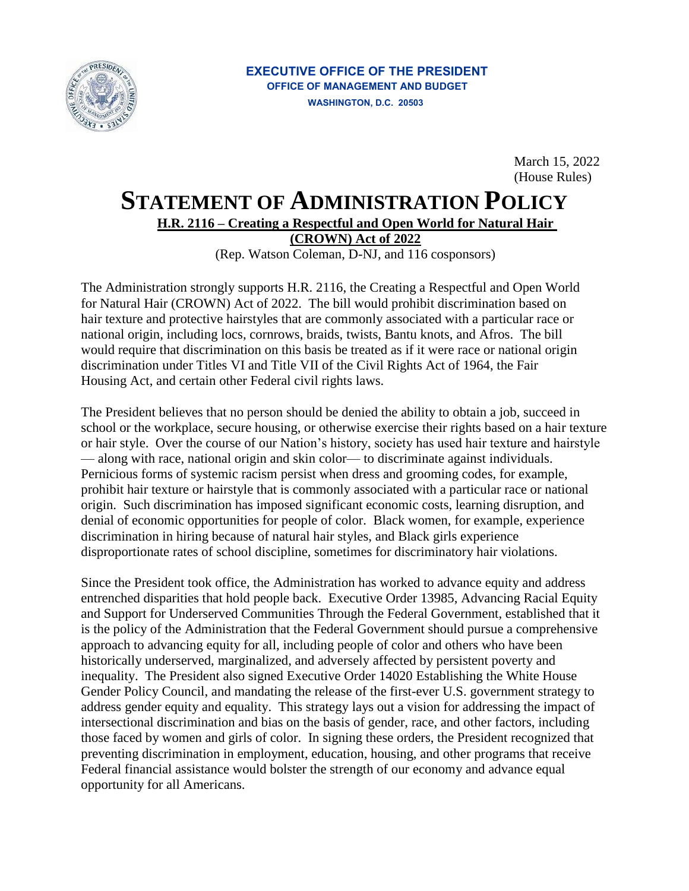

March 15, 2022 (House Rules)

## **STATEMENT OF ADMINISTRATION POLICY**

**H.R. 2116 – Creating a Respectful and Open World for Natural Hair** 

**(CROWN) Act of 2022** 

(Rep. Watson Coleman, D-NJ, and 116 cosponsors)

The Administration strongly supports H.R. 2116, the Creating a Respectful and Open World for Natural Hair (CROWN) Act of 2022. The bill would prohibit discrimination based on hair texture and protective hairstyles that are commonly associated with a particular race or national origin, including locs, cornrows, braids, twists, Bantu knots, and Afros. The bill would require that discrimination on this basis be treated as if it were race or national origin discrimination under Titles VI and Title VII of the Civil Rights Act of 1964, the Fair Housing Act, and certain other Federal civil rights laws.

The President believes that no person should be denied the ability to obtain a job, succeed in school or the workplace, secure housing, or otherwise exercise their rights based on a hair texture or hair style. Over the course of our Nation's history, society has used hair texture and hairstyle — along with race, national origin and skin color— to discriminate against individuals. Pernicious forms of systemic racism persist when dress and grooming codes, for example, prohibit hair texture or hairstyle that is commonly associated with a particular race or national origin. Such discrimination has imposed significant economic costs, learning disruption, and denial of economic opportunities for people of color. Black women, for example, experience discrimination in hiring because of natural hair styles, and Black girls experience disproportionate rates of school discipline, sometimes for discriminatory hair violations.

 Since the President took office, the Administration has worked to advance equity and address entrenched disparities that hold people back. Executive Order 13985, Advancing Racial Equity and Support for Underserved Communities Through the Federal Government, established that it is the policy of the Administration that the Federal Government should pursue a comprehensive approach to advancing equity for all, including people of color and others who have been historically underserved, marginalized, and adversely affected by persistent poverty and inequality. The President also signed Executive Order 14020 Establishing the White House Gender Policy Council, and mandating the release of the first-ever U.S. government strategy to address gender equity and equality. This strategy lays out a vision for addressing the impact of intersectional discrimination and bias on the basis of gender, race, and other factors, including those faced by women and girls of color. In signing these orders, the President recognized that preventing discrimination in employment, education, housing, and other programs that receive Federal financial assistance would bolster the strength of our economy and advance equal opportunity for all Americans.